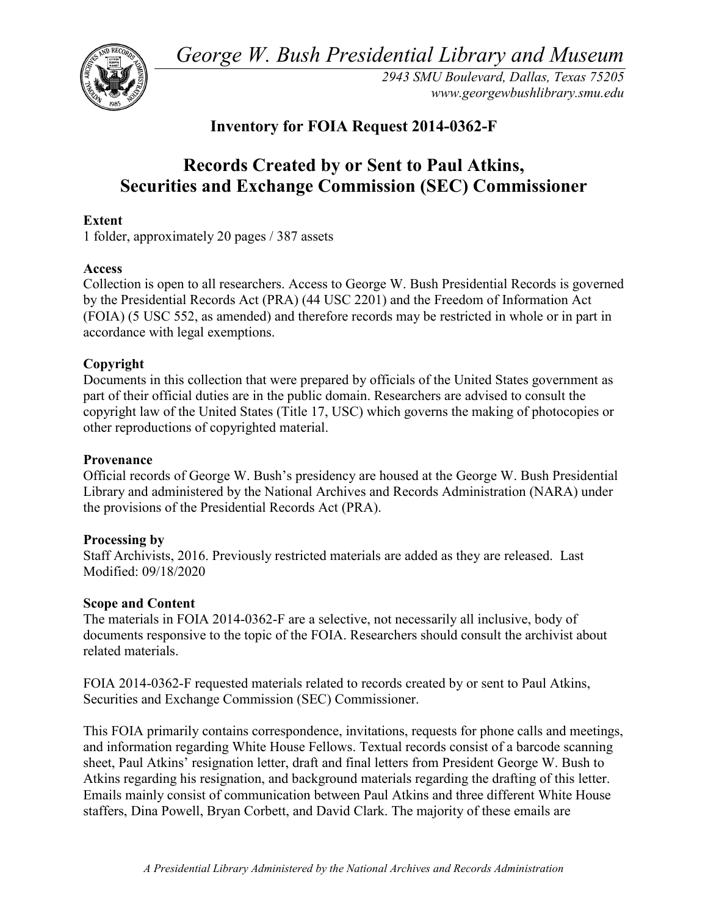*George W. Bush Presidential Library and Museum* 



 *2943 SMU Boulevard, Dallas, Texas 75205 <www.georgewbushlibrary.smu.edu>*

## **Inventory for FOIA Request 2014-0362-F**

# **Records Created by or Sent to Paul Atkins, Securities and Exchange Commission (SEC) Commissioner**

#### **Extent**

1 folder, approximately 20 pages / 387 assets

#### **Access**

 by the Presidential Records Act (PRA) (44 USC 2201) and the Freedom of Information Act (FOIA) (5 USC 552, as amended) and therefore records may be restricted in whole or in part in Collection is open to all researchers. Access to George W. Bush Presidential Records is governed accordance with legal exemptions.

### **Copyright**

 Documents in this collection that were prepared by officials of the United States government as part of their official duties are in the public domain. Researchers are advised to consult the copyright law of the United States (Title 17, USC) which governs the making of photocopies or other reproductions of copyrighted material.

#### **Provenance**

 Official records of George W. Bush's presidency are housed at the George W. Bush Presidential Library and administered by the National Archives and Records Administration (NARA) under the provisions of the Presidential Records Act (PRA).

#### **Processing by**

 Staff Archivists, 2016. Previously restricted materials are added as they are released. Last Modified: 09/18/2020

#### **Scope and Content**

The materials in FOIA 2014-0362-F are a selective, not necessarily all inclusive, body of documents responsive to the topic of the FOIA. Researchers should consult the archivist about related materials.

 FOIA 2014-0362-F requested materials related to records created by or sent to Paul Atkins, Securities and Exchange Commission (SEC) Commissioner.

 and information regarding White House Fellows. Textual records consist of a barcode scanning This FOIA primarily contains correspondence, invitations, requests for phone calls and meetings, sheet, Paul Atkins' resignation letter, draft and final letters from President George W. Bush to Atkins regarding his resignation, and background materials regarding the drafting of this letter. Emails mainly consist of communication between Paul Atkins and three different White House staffers, Dina Powell, Bryan Corbett, and David Clark. The majority of these emails are